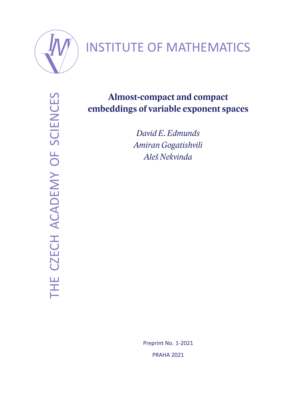

# INSTITUTE OF MATHEMATICS

THE CZECH ACADEMY OF SCIENCES THE CZECH ACADEMY OF SCIENCES

# **Almost-compact and compact embeddings of variable exponent spaces**

*David E. Edmunds Amiran Gogatishvili Aleš Nekvinda*

> Preprint No. 1-2021 PRAHA 2021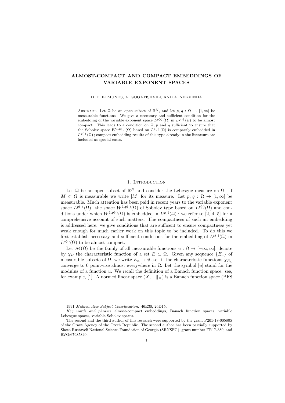# ALMOST-COMPACT AND COMPACT EMBEDDINGS OF VARIABLE EXPONENT SPACES

#### D. E. EDMUNDS, A. GOGATISHVILI, AND A. NEKVINDA

ABSTRACT. Let  $\Omega$  be an open subset of  $\mathbb{R}^N$ , and let  $p, q : \Omega \to [1, \infty]$  be measurable functions. We give a necessary and sufficient condition for the embedding of the variable exponent space  $L^{p(\cdot)}(\Omega)$  in  $L^{q(\cdot)}(\Omega)$  to be almost compact. This leads to a condition on  $\Omega$ , p and q sufficient to ensure that the Sobolev space  $W^{1,p(\cdot)}(\Omega)$  based on  $L^{p(\cdot)}(\Omega)$  is compactly embedded in  $L^{q(\cdot)}(\Omega)$ ; compact embedding results of this type already in the literature are included as special cases.

#### 1. INTRODUCTION

Let  $\Omega$  be an open subset of  $\mathbb{R}^N$  and consider the Lebesgue measure on  $\Omega$ . If  $M \subset \Omega$  is measurable we write |M| for its measure. Let  $p, q : \Omega \to [1, \infty]$  be measurable. Much attention has been paid in recent years to the variable exponent space  $L^{p(\cdot)}(\Omega)$ , the space  $W^{1,p(\cdot)}(\Omega)$  of Sobolev type based on  $L^{p(\cdot)}(\Omega)$  and conditions under which  $W^{1,p(\cdot)}(\Omega)$  is embedded in  $L^{q(\cdot)}(\Omega)$  : we refer to [2, 4, 5] for a comprehensive account of such matters. The compactness of such an embedding is addressed here: we give conditions that are sufficent to ensure compactness yet weak enough for much earlier work on this topic to be included. To do this we first establish necessary and sufficient conditions for the embedding of  $L^{p(\cdot)}(\Omega)$  in  $L^{q(\cdot)}(\Omega)$  to be almost compact.

Let  $\mathcal{M}(\Omega)$  be the family of all measurable functions  $u : \Omega \to [-\infty, \infty]$ ; denote by  $\chi_E$  the characteristic function of a set  $E \subset \Omega$ . Given any sequence  $\{E_n\}$  of measurable subsets of  $\Omega$ , we write  $E_n \to \emptyset$  a.e. if the characteristic functions  $\chi_{E_n}$ converge to 0 pointwise almost everywhere in  $\Omega$ . Let the symbol |u| stand for the modulus of a function  $u$ . We recall the definition of a Banach function space: see, for example, [1]. A normed linear space  $(X, \|\cdot\|_X)$  is a Banach function space (BFS)

<sup>1991</sup> Mathematics Subject Classification. 46E30, 26D15.

Key words and phrases. almost-compact embeddings, Banach function spaces, variable Lebesgue spaces, variable Sobolev spaces.

The second and the third author of this research were supported by the grant P201-18-00580S of the Grant Agency of the Czech Republic. The second author has been partially supported by Shota Rustaveli National Science Foundation of Georgia (SRNSFG) [grant number FR17-589] and RVO:67985840.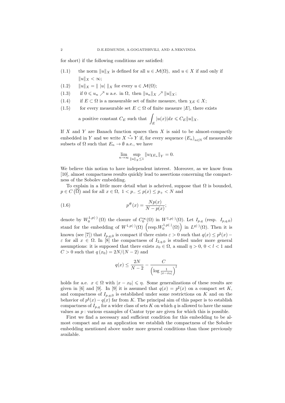for short) if the following conditions are satisfied:

- (1.1) the norm  $||u||_X$  is defined for all  $u \in \mathcal{M}(\Omega)$ , and  $u \in X$  if and only if  $||u||_X < \infty;$
- (1.2)  $||u||_X = ||u|| ||_X$  for every  $u \in \mathcal{M}(\Omega);$
- (1.3) if  $0 \leq u_n \nearrow u$  a.e. in  $\Omega$ , then  $||u_n||_X \nearrow ||u||_X$ ;
- (1.4) if  $E \subset \Omega$  is a measurable set of finite measure, then  $\chi_E \in X$ ;
- (1.5) for every measurable set  $E \subset \Omega$  of finite measure  $|E|$ , there exists

a positive constant 
$$
C_E
$$
 such that  $\int_E |u(x)| dx \leq C_E ||u||_X$ .

If  $X$  and  $Y$  are Banach function spaces then  $X$  is said to be almost-compactly embedded in Y and we write  $X \stackrel{*}{\hookrightarrow} Y$  if, for every sequence  $(E_n)_{n \in \mathbb{N}}$  of measurable subsets of  $\Omega$  such that  $E_n \to \emptyset$  a.e., we have

$$
\lim_{n \to \infty} \sup_{\|u\|_X \le 1} \|u \chi_{E_n}\|_Y = 0.
$$

We believe this notion to have independent interest. Moreover, as we know from [10], almost compactness results quickly lead to assertions concerning the compactness of the Sobolev embedding.

To explain in a little more detail what is acheived, suppose that  $\Omega$  is bounded,  $p \in C(\overline{\Omega})$  and for all  $x \in \Omega$ ,  $1 < p_- \le p(x) \le p_+ < N$  and

(1.6) 
$$
p^{\#}(x) = \frac{Np(x)}{N - p(x)};
$$

denote by  $W_0^{1,p(\cdot)}(\Omega)$  the closure of  $C_0^{\infty}(\Omega)$  in  $W^{1,p(\cdot)}(\Omega)$ . Let  $I_{p,q}$  (resp.  $I_{p,q,0}$ ) stand for the embedding of  $W^{1,p(\cdot)}(\Omega)$   $\left(\text{resp.}W_0^{1,p(\cdot)}(\Omega)\right)$  in  $L^{q(\cdot)}(\Omega)$ . Then it is known (see [7]) that  $I_{p,q,0}$  is compact if there exists  $\varepsilon > 0$  such that  $q(x) \leq p^{\sharp}(x)$  –  $\varepsilon$  for all  $x \in \Omega$ . In [8] the compactness of  $I_{2,q,0}$  is studied under more general assumptions: it is supposed that there exists  $x_0 \in \Omega$ , a small  $\eta > 0$ ,  $0 < l < 1$  and  $C > 0$  such that  $q(x_0) = 2N/(N-2)$  and

$$
q(x) \le \frac{2N}{N-2} - \frac{C}{\left(\log \frac{1}{|x-x_0|}\right)^l}
$$

holds for a.e.  $x \in \Omega$  with  $|x - x_0| \leq \eta$ . Some generalizations of these results are given in [6] and [9]. In [9] it is assumed that  $q(x) = p^{\sharp}(x)$  on a compact set K, and compactness of  $I_{p,q,0}$  is established under some restrictions on K and on the behavior of  $p^{\sharp}(x) - q(x)$  far from K. The principal aim of this paper is to establish compactness of  $I_{p,q}$  for a wider class of sets K on which q is allowed to have the same values as  $p:$  various examples of Cantor type are given for which this is possible.

First we find a necessary and sufficient condition for this embedding to be almost compact and as an application we establish the compactness of the Sobolev embedding mentioned above under more general conditions than those previously available.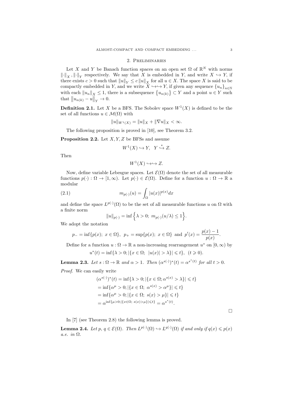#### 2. Preliminaries

Let X and Y be Banach function spaces on an open set  $\Omega$  of  $\mathbb{R}^N$  with norms  $\lVert \cdot \rVert_X$ ,  $\lVert \cdot \rVert_Y$  respectively. We say that X is embedded in Y, and write  $X \hookrightarrow Y$ , if there exists  $c > 0$  such that  $||u||_Y \le c ||u||_X$  for all  $u \in X$ . The space X is said to be compactly embedded in Y, and we write  $X \hookrightarrow \hookrightarrow Y$ , if given any sequence  ${u_n}_{n\in\mathbb{N}}$ with each  $||u_n||_X \leq 1$ , there is a subsequence  $\{u_{n(k)}\} \subset Y$  and a point  $u \in Y$  such that  $||u_{n(k)} - u||_Y \to 0.$ 

**Definition 2.1.** Let X be a BFS. The Sobolev space  $W<sup>1</sup>(X)$  is defined to be the set of all functions  $u \in \mathcal{M}(\Omega)$  with

$$
||u||_{W^{1}(X)} = ||u||_{X} + ||\nabla u||_{X} < \infty.
$$

The following proposition is proved in [10], see Theorem 3.2.

**Proposition 2.2.** Let  $X, Y, Z$  be BFSs and assume

$$
W^1(X) \hookrightarrow Y, \quad Y \stackrel{*}{\hookrightarrow} Z.
$$

Then

$$
W^1(X) \hookrightarrow \hookrightarrow Z.
$$

Now, define variable Lebesgue spaces. Let  $\mathcal{E}(\Omega)$  denote the set of all measurable functions  $p(\cdot): \Omega \to [1,\infty)$ . Let  $p(\cdot) \in \mathcal{E}(\Omega)$ . Define for a function  $u : \Omega \to \mathbb{R}$  a modular

(2.1) 
$$
m_{p(\cdot)}(u) = \int_{\Omega} |u(x)|^{p(x)} dx
$$

and define the space  $L^{p(\cdot)}(\Omega)$  to be the set of all measurable functions u on  $\Omega$  with a finite norm

$$
||u||_{p(\cdot)} = \inf \{ \lambda > 0; \ m_{p(\cdot)}(u/\lambda) \le 1 \}.
$$

We adopt the notation

$$
p_{-}=\inf\{p(x);\ x\in\Omega\},\ \ p_{+}=\sup\{p(x);\ x\in\Omega\}\ \ \text{and}\ \ p'(x)=\frac{p(x)-1}{p(x)}.
$$

Define for a function  $u : \Omega \to \mathbb{R}$  a non-increasing rearrangement  $u^*$  on  $[0, \infty)$  by

$$
u^*(t) = \inf \{ \lambda > 0; |\{ x \in \Omega; \ |u(x)| > \lambda \}| \leq t \}, \ (t \geq 0).
$$

**Lemma 2.3.** Let  $s : \Omega \to \mathbb{R}$  and  $\alpha > 1$ . Then  $(\alpha^{s(\cdot)})^*(t) = \alpha^{s^*(t)}$  for all  $t > 0$ .

Proof. We can easily write

$$
(\alpha^{s(\cdot)})^*(t) = \inf \{ \lambda > 0; |\{ x \in \Omega; \alpha^{s(x)} > \lambda \}| \leq t \}
$$
  
=  $\inf \{ \alpha^{\mu} > 0; |\{ x \in \Omega; \alpha^{s(x)} > \alpha^{\mu} \}| \leq t \}$   
=  $\inf \{ \alpha^{\mu} > 0; |\{ x \in \Omega; s(x) > \mu \}| \leq t \}$   
=  $\alpha^{\inf \{ \mu > 0; |\{ x \in \Omega; s(x) > \mu \}| \leq t \}} = \alpha^{s^*(t)}$ .

 $\Box$ 

In [7] (see Theorem 2.8) the following lemma is proved.

**Lemma 2.4.** Let  $p, q \in \mathcal{E}(\Omega)$ . Then  $L^{p(\cdot)}(\Omega) \hookrightarrow L^{q(\cdot)}(\Omega)$  if and only if  $q(x) \leq p(x)$ a.e. in Ω.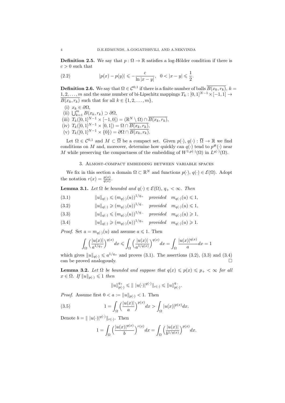**Definition 2.5.** We say that  $p : \Omega \to \mathbb{R}$  satisfies a log-Hölder condition if there is  $c > 0$  such that

(2.2) 
$$
|p(x) - p(y)| \leqslant -\frac{c}{\ln|x - y|}, \quad 0 < |x - y| \leqslant \frac{1}{2}.
$$

**Definition 2.6.** We say that  $\Omega \in C^{0,1}$  if there is a finite number of balls  $\overline{B(x_k, r_k)}$ ,  $k =$ 1, 2, . . . , m and the same number of bi-Lipschitz mappings  $T_k$  :  $[0,1]^{N-1} \times [-1,1] \rightarrow$  $\overline{B(x_k, r_k)}$  such that for all  $k \in \{1, 2, \ldots, m\},\$ 

- (i)  $x_k \in \partial \Omega$ , (ii)  $\bigcup_{k=1}^{m} B(x_k, r_k) \supset \partial \Omega$ , (iii)  $T_k([0,1]^{N-1} \times [-1,0]) = (\mathbb{R}^N \setminus \Omega) \cap \overline{B(x_k, r_k)},$ (iv)  $T_k([0,1]^{N-1} \times [0,1]) = \Omega \cap \overline{B(x_k, r_k)},$
- (v)  $T_k([0,1]^{N-1} \times \{0\}) = \partial\Omega \cap \overline{B(x_k, r_k)}$ .

Let  $\Omega \in \mathcal{C}^{0,1}$  and  $M \subset \overline{\Omega}$  be a compact set. Given  $p(\cdot), q(\cdot) : \overline{\Omega} \to \mathbb{R}$  we find conditions on M and, moreover, determine how quickly can  $q(\cdot)$  tend to  $p^{\#}(\cdot)$  near M while preserving the compactness of the embedding of  $W^{1,p(\cdot)}(\Omega)$  in  $L^{q(\cdot)}(\Omega)$ .

#### 3. Almost-compact embedding between variable spaces

We fix in this section a domain  $\Omega \subset \mathbb{R}^N$  and functions  $p(\cdot), q(\cdot) \in \mathcal{E}(\Omega)$ . Adopt the notation  $r(x) = \frac{p(x)}{q(x)}$ .

**Lemma 3.1.** Let  $\Omega$  be bounded and  $q(\cdot) \in \mathcal{E}(\Omega)$ ,  $q_+ < \infty$ . Then

(3.1) 
$$
||u||_{q(\cdot)} \leq (m_{q(\cdot)}(u))^{1/q_+} \quad provided \quad m_{q(\cdot)}(u) \leq 1,
$$

- (3.2)  $||u||_{q(\cdot)} \geqslant (m_{q(\cdot)}(u))^{1/q_{-}}$  provided  $m_{q(\cdot)}(u) \leqslant 1$ ,
- (3.3)  $||u||_{q(\cdot)} \leq (m_{q(\cdot)}(u))^{1/q_{-}}$  provided  $m_{q(\cdot)}(u) \geq 1$ ,
- (3.4)  $||u||_{q(\cdot)} \geqslant (m_{q(\cdot)}(u))^{1/q_+}$  provided  $m_{q(\cdot)}(u) \geqslant 1$ .

*Proof.* Set  $a = m_{q(\cdot)}(u)$  and assume  $a \leq 1$ . Then

$$
\int_{\Omega} \left( \frac{|u(x)|}{a^{1/q_+}} \right)^{q(x)} dx \leq \int_{\Omega} \left( \frac{|u(x)|}{a^{1/q(x)}} \right)^{q(x)} dx = \int_{\Omega} \frac{|u(x)|^{q(x)}}{a} dx = 1
$$

which gives  $||u||_{q(.)} \leq a^{1/q_+}$  and proves (3.1). The assertions (3.2), (3.3) and (3.4) can be proved analogously.

**Lemma 3.2.** Let  $\Omega$  be bounded and suppose that  $q(x) \leqslant p(x) \leqslant p_+ < \infty$  for all  $x \in \Omega$ . If  $||u||_{p(.)} \leq 1$  then

$$
||u||_{p(\cdot)}^{q_+} \leq || |u(\cdot)|^{q(\cdot)} ||_{r(\cdot)} \leq ||u||_{p(\cdot)}^{q_-}.
$$

*Proof.* Assume first  $0 < a := ||u||_{p(\cdot)} < 1$ . Then

(3.5) 
$$
1 = \int_{\Omega} \left( \frac{|u(x)|}{a} \right)^{p(x)} dx > \int_{\Omega} |u(x)|^{p(x)} dx.
$$

Denote  $b = ||u(\cdot)||^{q(\cdot)}||_{r(\cdot)}$ . Then

$$
1 = \int_{\Omega} \left( \frac{|u(x)|^{q(x)}}{b} \right)^{r(x)} dx = \int_{\Omega} \left( \frac{|u(x)|}{b^{1/q(x)}} \right)^{p(x)} dx.
$$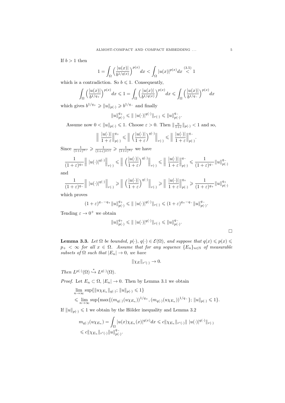If  $b > 1$  then

$$
1 = \int_{\Omega} \left( \frac{|u(x)|}{b^{1/q(x)}} \right)^{p(x)} dx < \int_{\Omega} |u(x)|^{p(x)} dx \stackrel{(3.5)}{<} 1
$$

which is a contradiction. So  $b \leq 1$ . Consequently,

$$
\int_{\Omega} \left( \frac{|u(x)|}{b^{1/q_+}} \right)^{p(x)} dx \leq 1 = \int_{\Omega} \left( \frac{|u(x)|}{b^{1/q(x)}} \right)^{p(x)} dx \leq \int_{\Omega} \left( \frac{|u(x)|}{b^{1/q_-}} \right)^{p(x)} dx
$$

which gives  $b^{1/q_+} \geqslant ||u||_{p(\cdot)} \geqslant b^{1/q_-}$  and finally

$$
||u||_{p(\cdot)}^{q_+} \leq || |u(\cdot)|^{q(\cdot)} ||_{r(\cdot)} \leq ||u||_{p(\cdot)}^{q_-}.
$$

Assume now  $0 < ||u||_{p(\cdot)} \leq 1$ . Choose  $\varepsilon > 0$ . Then  $||\frac{u}{1+\varepsilon}||_{p(\cdot)} < 1$  and so,

$$
\left\| \left| \frac{|u(\cdot)|}{1+\varepsilon} \right\|_{p(\cdot)}^{q_+} \leq \left\| \left| \left( \frac{|u(\cdot)|}{1+\varepsilon} \right)^{q(\cdot)} \right\|_{r(\cdot)} \leq \left\| \left| \frac{|u(\cdot)|}{1+\varepsilon} \right\|_{p(\cdot)}^{q_-} \right\|_{r(\cdot)}^{q_-}
$$

Since  $\frac{1}{(1+\varepsilon)^{q-}} \geq \frac{1}{(1+\varepsilon)^{q(x)}} \geq \frac{1}{(1+\varepsilon)^{q+}}$  we have

$$
\frac{1}{(1+\varepsilon)^{q_+}} \left\| |u(\cdot)|^{q(\cdot)} \right\|_{r(\cdot)} \leq \left\| \left( \frac{|u(\cdot)|}{1+\varepsilon} \right)^{q(\cdot)} \right\|_{r(\cdot)} \leq \left\| \left| \frac{|u(\cdot)|}{1+\varepsilon} \right\|_{p(\cdot)}^{q_-} \leq \frac{1}{(1+\varepsilon)^{q_-}} \|u\|_{p(\cdot)}^{q_-}
$$

and

$$
\frac{1}{(1+\varepsilon)^{q_-}} \left\| |u(\cdot)|^{q(\cdot)} \right\|_{r(\cdot)} \geq \left\| \left( \frac{|u(\cdot)|}{1+\varepsilon} \right)^{q(\cdot)} \right\|_{r(\cdot)} \geq \left\| \frac{|u(\cdot)|}{1+\varepsilon} \right\|_{p(\cdot)}^{q_+} \geq \frac{1}{(1+\varepsilon)^{q_+}} \|u\|_{p(\cdot)}^{q_+}
$$

which proves

$$
(1+\varepsilon)^{q-{}-q_+}\|u\|_{p(\cdot)}^{q_+}\leqslant \|\ |u(\cdot)|^{q(\cdot)}\|_{r(\cdot)}\leqslant (1+\varepsilon)^{q_+-q_-}\|u\|_{p(\cdot)}^{q_-}.
$$

Tending  $\varepsilon \to 0^+$  we obtain

$$
||u||_{p(\cdot)}^{q_+} \leq || |u(\cdot)|^{q(\cdot)} ||_{r(\cdot)} \leq ||u||_{p(\cdot)}^{q_-}.
$$

**Lemma 3.3.** Let  $\Omega$  be bounded,  $p(\cdot), q(\cdot) \in \mathcal{E}(\Omega)$ , and suppose that  $q(x) \leq p(x) \leq$  $p_+ < \infty$  for all  $x \in \Omega$ . Assume that for any sequence  $\{E_n\}_{n \in \mathbb{N}}$  of measurable subsets of  $\Omega$  such that  $|E_n| \to 0$ , we have

$$
\|\chi_E\|_{r'(\cdot)} \to 0.
$$

Then  $L^{p(\cdot)}(\Omega) \stackrel{*}{\hookrightarrow} L^{q(\cdot)}(\Omega)$ .

*Proof.* Let  $E_n \subset \Omega$ ,  $|E_n| \to 0$ . Then by Lemma 3.1 we obtain

$$
\lim_{n \to \infty} \sup \{ ||u \chi_{E_n}||_{q(\cdot)}; ||u||_{p(\cdot)} \leq 1 \}\leq \lim_{n \to \infty} \sup \{ \max \{ (m_{q(\cdot)}(u \chi_{E_n}))^{1/q_+}, (m_{q(\cdot)}(u \chi_{E_n}))^{1/q_-} \}; ||u||_{p(\cdot)} \leq 1 \}.
$$

If  $||u||_{p(\cdot)} \leq 1$  we obtain by the Hölder inequality and Lemma 3.2

$$
m_{q(\cdot)}(u\chi_{E_n}) = \int_{\Omega} |u(x)\chi_{E_n}(x)|^{q(x)} dx \leq c ||\chi_{E_n}||_{r'(\cdot)} || |u(\cdot)|^{q(\cdot)}||_{r(\cdot)}
$$
  

$$
\leq c ||\chi_{E_n}||_{r'(\cdot)} ||u||_{p(\cdot)}^{q_{-}}.
$$

 $\Box$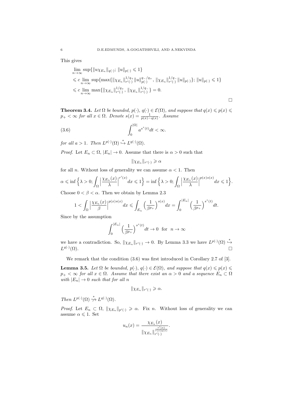This gives

$$
\lim_{n \to \infty} \sup \{ ||u \chi_{E_n}||_{q(\cdot)}; ||u||_{p(\cdot)} \leq 1 \}
$$
\n
$$
\leq c \lim_{n \to \infty} \sup \{ \max \{ ||\chi_{E_n}||_{r'(\cdot)}^{1/q_+} ||u||_{p(\cdot)}^{q_-/q_+}, ||\chi_{E_n}||_{r'(\cdot)}^{1/q_-} ||u||_{p(\cdot)} \}; ||u||_{p(\cdot)} \leq 1 \}
$$
\n
$$
\leq c \lim_{n \to \infty} \max \{ ||\chi_{E_n}||_{r'(\cdot)}^{1/q_+}, ||\chi_{E_n}||_{r'(\cdot)}^{1/q_-} \} = 0.
$$

 $\Box$ 

**Theorem 3.4.** Let  $\Omega$  be bounded,  $p(\cdot), q(\cdot) \in \mathcal{E}(\Omega)$ , and suppose that  $q(x) \leq p(x) \leq$  $p_+ < \infty$  for all  $x \in \Omega$ . Denote  $s(x) = \frac{1}{p(x)-q(x)}$ . Assume

(3.6) 
$$
\int_0^{|\Omega|} a^{s^*(t)} dt < \infty.
$$

for all  $a > 1$ . Then  $L^{p(\cdot)}(\Omega) \stackrel{*}{\hookrightarrow} L^{q(\cdot)}(\Omega)$ .

*Proof.* Let  $E_n \subset \Omega$ ,  $|E_n| \to 0$ . Assume that there is  $\alpha > 0$  such that

$$
\|\chi_{E_n}\|_{r'(\cdot)} \geqslant \alpha
$$

for all *n*. Without loss of generality we can assume  $\alpha < 1$ . Then

$$
\alpha \leqslant \inf \left\{ \lambda > 0; \int_{\Omega} \left| \frac{\chi_{E_n}(x)}{\lambda} \right|^{r'(x)} dx \leqslant 1 \right\} = \inf \left\{ \lambda > 0; \int_{\Omega} \left| \frac{\chi_{E_n}(x)}{\lambda} \right|^{p(x)s(x)} dx \leqslant 1 \right\}.
$$

Choose  $0 < \beta < \alpha$ . Then we obtain by Lemma 2.3

$$
1 < \int_{\Omega} \left| \frac{\chi_{E_n}(x)}{\beta} \right|^{p(x)s(x)} dx \leqslant \int_{E_n} \left( \frac{1}{\beta^{p_+}} \right)^{s(x)} dx = \int_0^{|E_n|} \left( \frac{1}{\beta^{p_+}} \right)^{s^*(t)} dt.
$$

Since by the assumption

$$
\int_0^{|E_n|} \left(\frac{1}{\beta^{p_+}}\right)^{s^*(t)} dt \to 0 \text{ for } n \to \infty
$$

we have a contradiction. So,  $\|\chi_{E_n}\|_{r'(\cdot)} \to 0$ . By Lemma 3.3 we have  $L^{p(\cdot)}(\Omega) \stackrel{*}{\hookrightarrow}$  $L^{q(\cdot)}$  $(\Omega)$ .

We remark that the condition  $(3.6)$  was first introduced in Corollary 2.7 of [3].

**Lemma 3.5.** Let  $\Omega$  be bounded,  $p(\cdot), q(\cdot) \in \mathcal{E}(\Omega)$ , and suppose that  $q(x) \leq p(x) \leq$  $p_+ < \infty$  for all  $x \in \Omega$ . Assume that there exist an  $\alpha > 0$  and a sequence  $E_n \subset \Omega$ with  $|E_n| \to 0$  such that for all n

$$
\|\chi_{E_n}\|_{r'(\cdot)} \geqslant \alpha.
$$

Then  $L^{p(\cdot)}(\Omega) \stackrel{*}{\nrightarrow} L^{q(\cdot)}(\Omega)$ .

*Proof.* Let  $E_n \subset \Omega$ ,  $\|\chi_{E_n}\|_{p'(\cdot)} \geqslant \alpha$ . Fix n. Without loss of generality we can assume  $\alpha \leqslant 1$ . Set

$$
u_n(x) = \frac{\chi_{E_n}(x)}{\|\chi_{E_n}\|_{r'(\cdot)}^{\frac{r'(x)}{r(x)q(x)}}}.
$$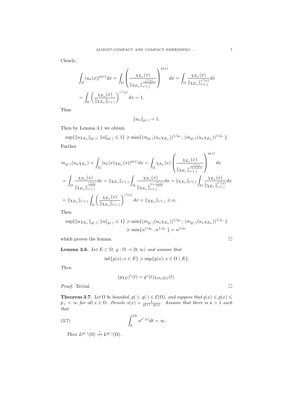Clearly,

$$
\int_{\Omega} |u_n(x)|^{p(x)} dx = \int_{\Omega} \left( \frac{\chi_{E_n}(x)}{\|\chi_{E_n}\|_{r'(\cdot)}^{\frac{r'(x)}{r(x)q(x)}}} \right)^{p(x)} dx = \int_{\Omega} \frac{\chi_{E_n}(x)}{\|\chi_{E_n}\|_{r'(\cdot)}^{r'(x)}} dx
$$

$$
= \int_{\Omega} \left( \frac{\chi_{E_n}(x)}{\|\chi_{E_n}\|_{r'(\cdot)}} \right)^{r'(x)} dx = 1.
$$

Thus

$$
||u_n||_{p(\cdot)} = 1.
$$

Then by Lemma 3.1 we obtain

 $\sup\{\|u\chi_{E_n}\|_{q(\cdot)}; \|u\|_{p(\cdot)} \leq 1\} \geqslant \min\{(m_{q(\cdot)}(u_n\chi_{E_n}))^{1/q_+}, (m_{q(\cdot)}(u_n\chi_{E_n}))^{1/q_-}\}.$ Further

$$
m_{q(\cdot)}(u_{n}\chi_{E_n}) = \int_{\Omega} |u_n(x)\chi_{E_n}(x)|^{q(x)} dx = \int_{\Omega} \chi_{E_n}(x) \left(\frac{\chi_{E_n}(x)}{\|\chi_{E_n}\|_{r'(\cdot)}^{r'(x)}}\right)^{q(x)} dx
$$
  
\n
$$
= \int_{\Omega} \frac{\chi_{E_n}(x)}{\|\chi_{E_n}\|_{r'(\cdot)}^{r'(x)}} dx = \|\chi_{E_n}\|_{r'(\cdot)} \int_{\Omega} \frac{\chi_{E_n}(x)}{\|\chi_{E_n}\|_{r'(\cdot)}^{r'(x)}} dx = \|\chi_{E_n}\|_{r'(\cdot)} \int_{\Omega} \frac{\chi_{E_n}(x)}{\|\chi_{E_n}\|_{r'(\cdot)}^{r'(x)}} dx
$$
  
\n
$$
= \|\chi_{E_n}\|_{r'(\cdot)} \int_{\Omega} \left(\frac{\chi_{E_n}(x)}{\|\chi_{E_n}\|_{r'(\cdot)}}\right)^{r'(x)} dx = \|\chi_{E_n}\|_{r'(\cdot)} \ge \alpha.
$$

Then

$$
\sup\{\|u\chi_{E_n}\|_{q(\cdot)}; \|u\|_{p(\cdot)} \leq 1\} \geq \min\{(m_{q(\cdot)}(u_n\chi_{E_n}))^{1/q_+}, (m_{q(\cdot)}(u_n\chi_{E_n}))^{1/q_-}\}\
$$

$$
\geq \min\{\alpha^{1/q_+}, \alpha^{1/q_-}\} = \alpha^{1/q_-}
$$

which proves the lemma.  $\hfill \Box$ 

**Lemma 3.6.** Let  $E \subset \Omega$ ,  $g : \Omega \to [0, \infty)$  and assume that

$$
\inf\{g(x); x \in E\} \geqslant \sup\{g(x); x \in \Omega \setminus E\}.
$$

Then

$$
(g\chi_E)^*(t) = g^*(t)\chi_{(0,|E|)}(t).
$$

*Proof.* Trivial.

**Theorem 3.7.** Let  $\Omega$  be bounded,  $p(\cdot), q(\cdot) \in \mathcal{E}(\Omega)$ , and suppose that  $q(x) \leq p(x) \leq$  $p_+ < \infty$  for all  $x \in \Omega$ . Denote  $s(x) = \frac{1}{p(x)-q(x)}$ . Assume that there is  $a > 1$  such that

(3.7) 
$$
\int_0^{|\Omega|} a^{s^*(t)} dt = \infty.
$$

Then  $L^{p(\cdot)}(\Omega) \stackrel{*}{\nrightarrow} L^{q(\cdot)}(\Omega)$ .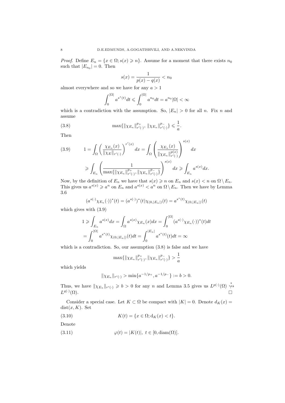*Proof.* Define  $E_n = \{x \in \Omega; s(x) \geq n\}$ . Assume for a moment that there exists  $n_0$ such that  $|E_{n_0}| = 0$ . Then

$$
s(x) = \frac{1}{p(x) - q(x)} < n_0
$$

almost everywhere and so we have for any  $a > 1$ 

$$
\int_0^{|\Omega|} a^{s^*(t)} dt \leqslant \int_0^{|\Omega|} a^{n_0} dt = a^{n_0} |\Omega| < \infty
$$

which is a contradiction with the assumption. So,  $|E_n| > 0$  for all n. Fix n and assume

(3.8) 
$$
\max\{\|\chi_{E_n}\|_{r'(\cdot)}^{p_+}, \|\chi_{E_n}\|_{r'(\cdot)}^{p_-}\}\leq \frac{1}{a}.
$$

Then

$$
(3.9) \t 1 = \int_{\Omega} \left( \frac{\chi_{E_n}(x)}{\|\chi_E\|_{r'(\cdot)}} \right)^{r'(x)} dx = \int_{\Omega} \left( \frac{\chi_{E_n}(x)}{\|\chi_{E_n}\|_{r'(\cdot)}^{p(x)}} \right)^{s(x)} dx
$$
  

$$
\geqslant \int_{E_n} \left( \frac{1}{\max\{\|\chi_{E_n}\|_{r'(\cdot)}^{p_+}, \|\chi_{E_n}\|_{r'(\cdot)}^{p_-}\}} \right)^{s(x)} dx \geqslant \int_{E_n} a^{s(x)} dx.
$$

Now, by the definition of  $E_n$  we have that  $s(x) \geq n$  on  $E_n$  and  $s(x) < n$  on  $\Omega \setminus E_n$ . This gives us  $a^{s(x)} \geq a^n$  on  $E_n$  and  $a^{s(x)} < a^n$  on  $\Omega \setminus E_n$ . Then we have by Lemma 3.6

$$
(a^{s(\cdot)}\chi_{E_n}(\cdot))^*(t) = (a^{s(\cdot)})^*(t)\chi_{(0,|E_n|)}(t) = a^{s^*(t)}\chi_{(0,|E_n|)}(t)
$$

which gives with (3.9)

$$
1 \geqslant \int_{E_n} a^{s(x)} dx = \int_{\Omega} a^{s(x)} \chi_{E_n}(x) dx = \int_0^{|\Omega|} (a^{s(\cdot)} \chi_{E_n}(\cdot))^*(t) dt
$$

$$
= \int_0^{|\Omega|} a^{s^*(t)} \chi_{(0,|E_n|)}(t) dt = \int_0^{|E_n|} a^{s^*(t)}(t) dt = \infty
$$

which is a contradiction. So, our assumption  $(3.8)$  is false and we have

$$
\max\{\|\chi_{E_n}\|_{r'(\cdot)}^{p_+}, \|\chi_{E_n}\|_{r'(\cdot)}^{p_-}\} > \frac{1}{a}
$$

which yields

$$
\|\chi_{E_n}\|_{r'(\cdot)} > \min\{a^{-1/p_+}, a^{-1/p_-}\} := b > 0.
$$

Thus, we have  $\|\chi_{E_n}\|_{r'(\cdot)} \geqslant b > 0$  for any n and Lemma 3.5 gives us  $L^{p(\cdot)}(\Omega) \stackrel{*}{\leftrightarrow}$  $L^{q(\cdot)}$  $(\Omega)$ .

Consider a special case. Let  $K \subset \Omega$  be compact with  $|K| = 0$ . Denote  $d_K(x) =$  $dist(x, K)$ . Set

(3.10) 
$$
K(t) = \{x \in \Omega; d_K(x) < t\}.
$$

Denote

(3.11)  $\varphi(t) = |K(t)|, t \in [0, \text{diam}(\Omega)].$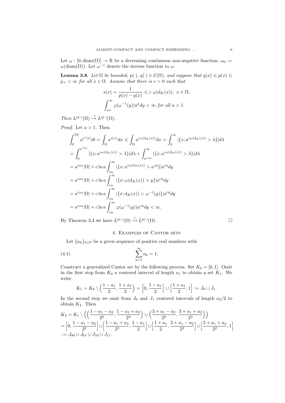Let  $\omega : [0, \text{diam}(\Omega)] \to \mathbb{R}$  be a decreasing continuous non-negative function,  $\omega_0 :=$  $\omega(\text{diam}(\Omega))$ . Let  $\omega^{-1}$  denote the inverse function to  $\omega$ .

**Lemma 3.8.** Let  $\Omega$  be bounded,  $p(\cdot), q(\cdot) \in \mathcal{E}(\Omega)$ , and suppose that  $q(x) \leqslant p(x) \leqslant$  $p_+ < \infty$  for all  $x \in \Omega$ . Assume that there is  $c > 0$  such that

$$
s(x) = \frac{1}{p(x) - q(x)} \leq c \omega(\mathrm{d}_K(x)), \ x \in \Omega,
$$

$$
\int_{\omega_0}^{\infty} \varphi(\omega^{-1}(y)) a^y dy < \infty \text{ for all } a > 1.
$$

Then  $L^{p(\cdot)}(\Omega) \stackrel{*}{\hookrightarrow} L^{q(\cdot)}(\Omega)$ .

*Proof.* Let  $a > 1$ . Then

$$
\int_{0}^{|\Omega|} a^{s^*(t)} dt = \int_{\Omega} a^{s(x)} dx \le \int_{\Omega} a^{c\omega(\mathrm{d}_K(x))} dx = \int_{0}^{\infty} |\{x; a^{c\omega(\mathrm{d}_K(x))} > \lambda\}| d\lambda
$$
  
\n
$$
= \int_{0}^{a^{c\omega_0}} |\{x; a^{c\omega(\mathrm{d}_K(x))} > \lambda\}| d\lambda + \int_{a^{c\omega_0}}^{\infty} |\{x; a^{c\omega(\mathrm{d}_K(x))} > \lambda\}| d\lambda
$$
  
\n
$$
= a^{c\omega_0} |\Omega| + c \ln a \int_{\omega_0}^{\infty} |\{x; a^{c\omega(\mathrm{d}_K(x))} > a^{c\gamma}\}| a^{c\gamma} dy
$$
  
\n
$$
= a^{c\omega_0} |\Omega| + c \ln a \int_{\omega_0}^{\infty} |\{x; \omega(\mathrm{d}_K(x)) > y\}| a^{c\gamma} dy
$$
  
\n
$$
= a^{c\omega_0} |\Omega| + c \ln a \int_{\omega_0}^{\infty} |\{x; \mathrm{d}_K(x)) < \omega^{-1}(y)\}| a^{c\gamma} dy
$$
  
\n
$$
= a^{c\omega_0} |\Omega| + c \ln a \int_{\omega_0}^{\infty} \varphi(\omega^{-1}(y)) a^{c\gamma} dy < \infty.
$$

By Theorem 3.4 we have  $L^{p(\cdot)}(\Omega) \stackrel{*}{\hookrightarrow} L^{q(\cdot)}(\Omega)$ .

## 4. Examples of Cantor sets

Let  ${a_k}_{k\in\mathbb{N}}$  be a given sequence of positive real numbers with

$$
\sum_{k=1}^{\infty} a_k = 1.
$$

Construct a generalized Cantor set by the following process. Set  $K_0 = [0, 1]$ . Omit in the first step from  $K_0$  a centered interval of length  $a_1$  to obtain a set  $K_1$ . We write

$$
K_1 = K_0 \setminus \left(\frac{1-a_1}{2}, \frac{1+a_1}{2}\right) = \left[0, \frac{1-a_1}{2}\right] \cup \left[\frac{1+a_1}{2}, 1\right] := J_0 \cup J_1.
$$

In the second step we omit from  $J_0$  and  $J_1$  centered intervals of length  $a_2/2$  to obtain  $K_2$ . Then

$$
K_2 = K_1 \setminus \left( \left( \frac{1 - a_1 - a_2}{2^2}, \frac{1 - a_1 + a_2}{2^2} \right) \cup \left( \frac{3 + a_1 - a_2}{2^2}, \frac{3 + a_1 + a_2}{2^2} \right) \right)
$$
  
=  $\left[ 0, \frac{1 - a_1 - a_2}{2^2} \right] \cup \left[ \frac{1 - a_1 + a_2}{2^2}, \frac{1 - a_1}{2} \right] \cup \left[ \frac{1 + a_1}{2}, \frac{3 + a_1 - a_2}{2^2} \right] \cup \left[ \frac{3 + a_1 + a_2}{2^2}, 1 \right]$   
:=  $J_{00} \cup J_{01} \cup J_{10} \cup J_{11}$ .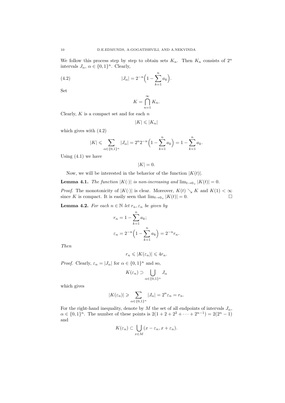We follow this process step by step to obtain sets  $K_n$ . Then  $K_n$  consists of  $2^n$ intervals  $J_{\alpha}$ ,  $\alpha \in \{0,1\}^n$ . Clearly,

(4.2) 
$$
|J_{\alpha}| = 2^{-n} \left( 1 - \sum_{k=1}^{n} a_k \right).
$$

Set

$$
K = \bigcap_{n=1}^{\infty} K_n.
$$

Clearly,  $K$  is a compact set and for each  $n$ 

$$
|K| \leqslant |K_n|
$$

which gives with (4.2)

$$
|K| \leqslant \sum_{\alpha \in \{0,1\}^n} |J_{\alpha}| = 2^n 2^{-n} \left( 1 - \sum_{k=1}^n a_k \right) = 1 - \sum_{k=1}^n a_k.
$$

Using  $(4.1)$  we have

$$
|K| = 0.
$$

Now, we will be interested in the behavior of the function  $|K(t)|$ .

**Lemma 4.1.** The function  $|K(\cdot)|$  is non-increasing and  $\lim_{t\to 0+} |K(t)| = 0$ .

*Proof.* The monotonicity of  $|K(\cdot)|$  is clear. Moreover,  $K(t) \searrow K$  and  $K(1) < \infty$ since K is compact. It is easily seen that  $\lim_{t\to 0_+} |K(t)| = 0$ .

**Lemma 4.2.** For each  $n \in \mathbb{N}$  let  $r_n, \varepsilon_n$  be given by

$$
r_n = 1 - \sum_{k=1}^n a_k;
$$
  

$$
\varepsilon_n = 2^{-n} \left( 1 - \sum_{k=1}^n a_k \right) = 2^{-n} r_n.
$$

Then

$$
r_n \leqslant |K(\varepsilon_n)| \leqslant 4r_n.
$$

*Proof.* Clearly,  $\varepsilon_n = |J_\alpha|$  for  $\alpha \in \{0,1\}^n$  and so,

$$
K(\varepsilon_n) \supset \bigcup_{\alpha \in \{0,1\}^n} J_\alpha
$$

which gives

$$
|K(\varepsilon_n)| \geqslant \sum_{\alpha \in \{0,1\}^n} |J_\alpha| = 2^n \varepsilon_n = r_n.
$$

For the right-hand inequality, denote by M the set of all endpoints of intervals  $J_{\alpha}$ ,  $\alpha \in \{0,1\}^n$ . The number of these points is  $2(1+2+2^2+\cdots+2^{n-1})=2(2^n-1)$ and

$$
K(\varepsilon_n) \subset \bigcup_{x \in M} (x - \varepsilon_n, x + \varepsilon_n).
$$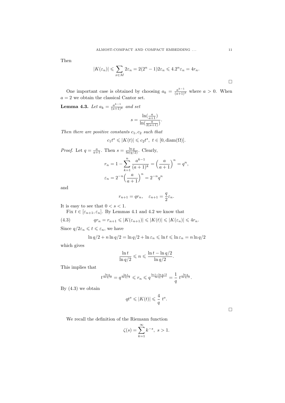Then

$$
|K(\varepsilon_n)| \leqslant \sum_{x \in M} 2\varepsilon_n = 2(2^n - 1)2\varepsilon_n \leqslant 4.2^n \varepsilon_n = 4r_n.
$$

One important case is obtained by choosing  $a_k = \frac{a^{k-1}}{(a+1)^k}$  where  $a > 0$ . When  $a = 2$  we obtain the classical Cantor set.

**Lemma 4.3.** Let  $a_k = \frac{a^{k-1}}{(a+1)^k}$  and set

$$
s = \frac{\ln(\frac{a}{a+1})}{\ln(\frac{a}{2(a+1)})}.
$$

Then there are positive constants  $c_1, c_2$  such that

$$
c_1t^s \leqslant |K(t)| \leqslant c_2t^s, \ t \in [0, \text{diam}(\Omega)].
$$

*Proof.* Let  $q = \frac{a}{a+1}$ . Then  $s = \frac{\ln q}{\ln(q/2)}$ . Clearly,

$$
r_n = 1 - \sum_{k=1}^n \frac{a^{k-1}}{(a+1)^k} = \left(\frac{a}{a+1}\right)^n = q^n,
$$
  

$$
\varepsilon_n = 2^{-n} \left(\frac{a}{a+1}\right)^n = 2^{-n} q^n
$$

and

$$
r_{n+1} = qr_n, \quad \varepsilon_{n+1} = \frac{q}{2}\varepsilon_n.
$$

It is easy to see that  $0 < s < 1$ .

Fix  $t \in [\varepsilon_{n+1}, \varepsilon_n]$ . By Lemmas 4.1 and 4.2 we know that

(4.3) 
$$
qr_n = r_{n+1} \leqslant |K(\varepsilon_{n+1})| \leqslant |K(t)| \leqslant |K(\varepsilon_n)| \leqslant 4r_n.
$$

Since  $q/2\varepsilon_n \leqslant t \leqslant \varepsilon_n$ , we have

$$
\ln q/2 + n \ln q/2 = \ln q/2 + \ln \varepsilon_n \leqslant \ln t \leqslant \ln \varepsilon_n = n \ln q/2
$$

which gives

$$
\frac{\ln t}{\ln q/2} \leqslant n \leqslant \frac{\ln t - \ln q/2}{\ln q/2}.
$$

This implies that

$$
t^{\frac{\ln q}{\ln q/2}}=q^{\frac{\ln t}{\ln q/2}}\leqslant r_n\leqslant q^{\frac{\ln t-\ln q/2}{\ln q/2}}=\frac{1}{q}\;t^{\frac{\ln q}{\ln q/2}}.
$$

By  $(4.3)$  we obtain

$$
qt^s \leqslant |K(t)| \leqslant \frac{4}{q} t^s.
$$

We recall the definition of the Riemann function

$$
\zeta(s) = \sum_{k=1}^{\infty} k^{-s}, \ s > 1.
$$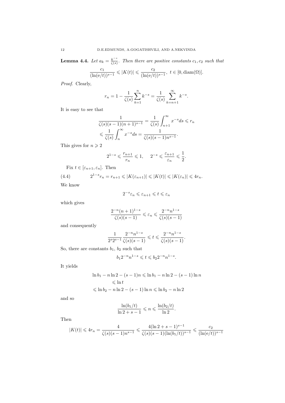**Lemma 4.4.** Let  $a_k = \frac{k^{-s}}{\zeta(s)}$  $\frac{k}{\zeta(s)}$ . Then there are positive constants  $c_1, c_2$  such that

$$
\frac{c_1}{(\ln(e/t))^{s-1}} \leqslant |K(t)| \leqslant \frac{c_2}{(\ln(e/t))^{s-1}}, \ t \in [0, \text{diam}(\Omega)].
$$

Proof. Clearly,

$$
r_n = 1 - \frac{1}{\zeta(s)} \sum_{k=1}^n k^{-s} = \frac{1}{\zeta(s)} \sum_{k=n+1}^\infty k^{-s}.
$$

It is easy to see that

$$
\frac{1}{\zeta(s)(s-1)(n+1)^{s-1}} = \frac{1}{\zeta(s)} \int_{n+1}^{\infty} x^{-s} ds \leq r_n
$$
  

$$
\leq \frac{1}{\zeta(s)} \int_{n}^{\infty} x^{-s} ds = \frac{1}{\zeta(s)(s-1)n^{s-1}}.
$$

This gives for  $n \geqslant 2$ 

$$
2^{1-s} \leqslant \frac{r_{n+1}}{r_n} \leqslant 1, \quad \ \ 2^{-s} \leqslant \frac{\varepsilon_{n+1}}{\varepsilon_n} \leqslant \frac{1}{2}.
$$

Fix  $t \in [\varepsilon_{n+1}, \varepsilon_n]$ . Then

(4.4)  $2^{1-s}r_n = r_{n+1} \leqslant |K(\varepsilon_{n+1})| \leqslant |K(t)| \leqslant |K(\varepsilon_n)| \leqslant 4r_n.$ 

We know

$$
2^{-s}\varepsilon_n \leqslant \varepsilon_{n+1} \leqslant t \leqslant \varepsilon_n
$$

which gives

$$
\frac{2^{-n}(n+1)^{1-s}}{\zeta(s)(s-1)} \leqslant \varepsilon_n \leqslant \frac{2^{-n}n^{1-s}}{\zeta(s)(s-1)}
$$

and consequently

$$
\frac{1}{2^s2^{s-1}}\frac{2^{-n}n^{1-s}}{\zeta(s)(s-1)}\leqslant t\leqslant \frac{2^{-n}n^{1-s}}{\zeta(s)(s-1)}.
$$

So, there are constants  $b_1$ ,  $b_2$  such that

$$
b_1 2^{-n} n^{1-s} \leqslant t \leqslant b_2 2^{-n} n^{1-s}.
$$

It yields

$$
\ln b_1 - n \ln 2 - (s - 1)n \le \ln b_1 - n \ln 2 - (s - 1) \ln n
$$
  
\$\le \ln t\$  
\$\le \ln b\_2 - n \ln 2 - (s - 1) \ln n \le \ln b\_2 - n \ln 2\$

and so

$$
\frac{\ln(b_1/t)}{\ln 2 + s - 1} \leqslant n \leqslant \frac{\ln(b_2/t)}{\ln 2}.
$$

Then

$$
|K(t)| \leq 4r_n = \frac{4}{\zeta(s)(s-1)n^{s-1}} \leq \frac{4(\ln 2 + s - 1)^{s-1}}{\zeta(s)(s-1)(\ln(b_1/t))^{s-1}} \leq \frac{c_2}{(\ln(e/t))^{s-1}}
$$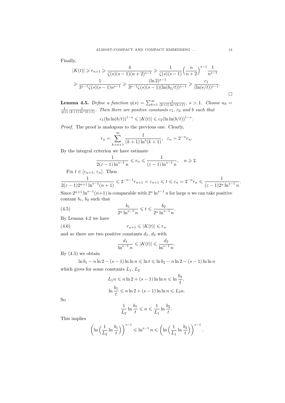Finally,

$$
|K(t)| \ge r_{n+1} \ge \frac{4}{\zeta(s)(s-1)(n+2)^{s-1}} \ge \frac{1}{\zeta(s)(s-1)} \left(\frac{n}{n+2}\right)^{s-1} \frac{1}{n^{s-1}}
$$
  

$$
\ge \frac{1}{3^{s-1}\zeta(s)(s-1)n^{s-1}} \ge \frac{(\ln 2)^{s-1}}{3^{s-1}\zeta(s)(s-1)(\ln(b_2/t))^{s-1}} \ge \frac{c_1}{(\ln(e/t))^{s-1}}.
$$

**Lemma 4.5.** Define a function  $\eta(s) = \sum_{k=1}^{\infty} \frac{1}{(k+1)\ln^{s}(k+1)}$ ,  $s > 1$ . Choose  $a_k = \frac{1}{\eta(s)} \frac{1}{(k+1)\ln^{s}(k+1)}$ . Then there are positive constants  $c_1$ ,  $c_2$  and b such that

 $c_1(\ln \ln(b/t))^{1-s} \leqslant |K(t)| \leqslant c_2(\ln \ln(b/t))^{1-s}.$ 

Proof. The proof is analogous to the previous one. Clearly,

$$
r_n = \sum_{k=n+1}^{\infty} \frac{1}{(k+1)\ln^s(k+1)}, \ \varepsilon_n = 2^{-n}r_n.
$$

By the integral criterion we have estimate

$$
\frac{1}{2(\varepsilon-1)\ln^{s-1} n} \leqslant r_n \leqslant \frac{1}{(\varepsilon-1)\ln^{s-1} n}, \quad n \geqslant 2.
$$

Fix 
$$
t \in [\varepsilon_{n+1}, \varepsilon_n]
$$
. Then

$$
\frac{1}{2(\varepsilon-1)2^{n+1}\ln^{s-1}(n+1)} \leqslant 2^{-n-1}r_{n+1} = \varepsilon_{n+1} \leqslant t \leqslant \varepsilon_n = 2^{-n}r_n \leqslant \frac{1}{(\varepsilon-1)2^n\ln^{s-1}n}.
$$

Since  $2^{n+1} \ln^{s-1}(n+1)$  is comparable with  $2^n \ln^{s-1} n$  for large n we can take positive contant  $b_1$ ,  $b_2$  such that

(4.5) 
$$
\frac{b_1}{2^n \ln^{s-1} n} \leqslant t \leqslant \frac{b_2}{2^n \ln^{s-1} n}.
$$

By Lemma 4.2 we have

$$
(4.6) \t\t\t\t r_{n+1} \leqslant |K(t)| \leqslant r_n
$$

and so there are two positive constants  $d_1, d_2$  with

$$
\frac{d_1}{\ln^{s-1} n} \leqslant |K(t)| \leqslant \frac{d_2}{\ln^{s-1} n}.
$$

By  $(4.5)$  we obtain

ln  $b_1 - n \ln 2 - (s - 1) \ln \ln n \le \ln t \le \ln b_2 - n \ln 2 - (s - 1) \ln \ln n$ which gives for some constants  $L_1, L_2$ 

$$
L_1 n \leqslant n \ln 2 + (s - 1) \ln \ln n \leqslant \ln \frac{b_2}{t},
$$
  

$$
\ln \frac{b_1}{t} \leqslant n \ln 2 + (s - 1) \ln \ln n \leqslant L_2 n.
$$

So

$$
\frac{1}{L_2} \ln \frac{b_1}{t} \leqslant n \leqslant \frac{1}{L_1} \ln \frac{b_2}{t}.
$$

This implies

$$
\left(\ln\left(\frac{1}{L_2}\ln\frac{b_1}{t}\right)\right)^{s-1} \leqslant \ln^{s-1} n \leqslant \left(\ln\left(\frac{1}{L_1}\ln\frac{b_2}{t}\right)\right)^{s-1}.
$$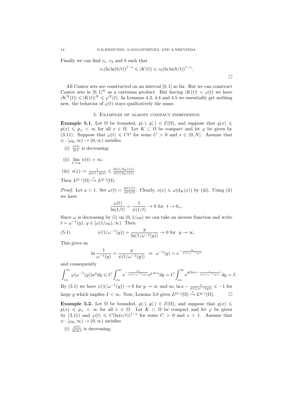Finally we can find  $c_1$ ,  $c_2$  and b such that

$$
c_1(\ln \ln(b/t))^{1-s} \leqslant |K(t)| \leqslant c_2(\ln \ln(b/t))^{1-s}.
$$

All Cantor sets are constructed on an interval [0, 1] so far. But we can construct Cantor sets in  $[0,1]^N$  as a cartesian product. But having  $|K(t)| = \varphi(t)$  we have  $|K^N(t)| \leqslant |K(t)|^N \leqslant \varphi^N(t)$ . In Lemmas 4.3, 4.4 and 4.5 we essentially get nothing new, the behavior of  $\varphi(t)$  stays qualitatively the same.

#### 5. Examples of almost compact embeddings

**Example 5.1.** Let  $\Omega$  be bounded,  $p(\cdot), q(\cdot) \in \mathcal{E}(\Omega)$ , and suppose that  $q(x) \leq$  $p(x) \leq p_+ < \infty$  for all  $x \in \Omega$ . Let  $K \subset \Omega$  be compact and let  $\varphi$  be given by (3.11). Suppose that  $\varphi(t) \leq C t^s$  for some  $C > 0$  and  $s \in (0, N]$ . Assume that  $\psi : [\omega_0, \infty) \to (0, \infty)$  satisfies

- (i)  $\frac{\psi(t)}{\ln t}$  is decreasing;
- (ii)  $\lim_{t\to\infty}\psi(t) = \infty;$
- (iii)  $s(x) := \frac{1}{p(x) q(x)} \leq \frac{\ln(1/\mathrm{d}_K(x))}{\psi(1/\mathrm{d}_K(x))}.$ Then  $L^{p(\cdot)}(\Omega) \stackrel{*}{\hookrightarrow} L^{q(\cdot)}(\Omega)$ .

*Proof.* Let  $a > 1$ . Set  $\omega(t) = \frac{\ln(1/t)}{\psi(1/t)}$ . Clearly,  $s(x) \leq \omega(d_K(x))$  by (iii). Using (ii) we have

$$
\frac{\omega(t)}{\ln(1/t)} = \frac{1}{\psi(1/t)} \to 0 \text{ for } t \to 0_+.
$$

Since  $\omega$  is decreasing by (i) on  $(0, 1/\omega_0)$  we can take an inverse function and write  $t = \omega^{-1}(y), y \in [\omega(1/\omega_0), \infty)$ . Then

(5.1) 
$$
\psi(1/\omega^{-1}(y)) = \frac{y}{\ln(1/\omega^{-1}(y))} \to 0 \text{ for } y \to \infty.
$$

This gives us

$$
\ln \frac{1}{\omega^{-1}(y)} = \frac{y}{\psi(1/\omega^{-1}(y))} \Rightarrow \omega^{-1}(y) = e^{-\frac{y}{\psi(1/\omega^{-1}(y))}}
$$

and consequently

$$
\int_{\omega_0}^{\infty} \varphi(\omega^{-1}(y)) a^y dy \leqslant C \int_{\omega_0}^{\infty} e^{-\frac{sy}{\psi(1/\omega^{-1}(y))}} e^{y \ln a} dy = C \int_{\omega_0}^{\infty} e^{y(\ln a - \frac{s}{\psi(1/\omega^{-1}(y))})} dy = I.
$$
  
By (5.1) we have  $\psi(1/\omega^{-1}(y)) \to 0$  for  $y \to \infty$  and so,  $\ln a - \frac{s}{\psi(1/\omega^{-1}(y))} \leqslant -1$  for

large y which implies  $I < \infty$ . Now, Lemma 3.8 gives  $L^{p(\cdot)}(\Omega) \stackrel{*}{\hookrightarrow} L^{q(\cdot)}(\Omega)$ . □

**Example 5.2.** Let  $\Omega$  be bounded,  $p(\cdot), q(\cdot) \in \mathcal{E}(\Omega)$ , and suppose that  $q(x) \leq$  $p(x) \leq p_+ < \infty$  for all  $x \in \Omega$ . Let  $K \subset \Omega$  be compact and let  $\varphi$  be given by (3.11) and  $\varphi(t) \leq C(\ln(e/t))^{1-s}$  for some  $C > 0$  and  $s > 1$ . Assume that  $\psi : [\omega_0, \infty) \to (0, \infty)$  satisfies

(i)  $\frac{\psi(t)}{\ln \ln t}$  is decreasing;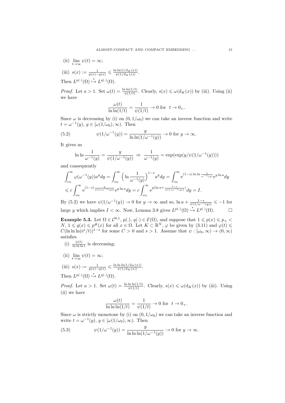- (ii)  $\lim_{t \to \infty} \psi(t) = \infty;$
- (iii)  $s(x) := \frac{1}{p(x) q(x)} \leq \frac{\ln \ln(1/\mathrm{d}_K(x))}{\psi(1/\mathrm{d}_K(x))}.$
- Then  $L^{p(\cdot)}(\Omega) \stackrel{*}{\hookrightarrow} L^{q(\cdot)}(\Omega)$ .

*Proof.* Let  $a > 1$ . Set  $\omega(t) = \frac{\ln \ln(1/t)}{\psi(1/t)}$ . Clearly,  $s(x) \leq \omega(d_K(x))$  by (iii). Using (ii) we have

$$
\frac{\omega(t)}{\ln \ln(1/t)} = \frac{1}{\psi(1/t)} \to 0 \text{ for } t \to 0_+.
$$

Since  $\omega$  is decreasing by (i) on  $(0, 1/\omega_0)$  we can take an inverse function and write  $t = \omega^{-1}(y), y \in [\omega(1/\omega_0), \infty)$ . Then

(5.2) 
$$
\psi(1/\omega^{-1}(y)) = \frac{y}{\ln \ln(1/\omega^{-1}(y))} \to 0 \text{ for } y \to \infty.
$$

It gives us

$$
\ln \ln \frac{1}{\omega^{-1}(y)} = \frac{y}{\psi(1/\omega^{-1}(y))} \implies \frac{1}{\omega^{-1}(y)} = \exp(\exp(y/\psi(1/\omega^{-1}(y))))
$$

and consequently

$$
\int_{\omega_0}^{\infty} \varphi(\omega^{-1}(y)) a^y dy = \int_{\omega_0}^{\infty} \left( \ln \frac{1}{\omega^{-1}(y)} \right)^{1-s} a^y dy = \int_{\omega_0}^{\infty} e^{(1-s) \ln \ln \frac{1}{\omega^{-1}(y)}} e^{y \ln a} dy
$$
  
\$\leqslant c \int\_{\omega\_0}^{\infty} e^{(1-s) \frac{y}{\psi(1/\omega^{-1}(y))}} e^{y \ln a} dy = c \int\_{\omega\_0}^{\infty} e^{y(\ln a + \frac{1-s}{\psi(1/\omega^{-1}(y))})} dy = I.

By (5.2) we have  $\psi(1/\omega^{-1}(y)) \to 0$  for  $y \to \infty$  and so,  $\ln a + \frac{1-s}{\psi(1/\omega^{-1}(y))} \le -1$  for large y which implies  $I < \infty$ . Now, Lemma 3.8 gives  $L^{p(\cdot)}(\Omega) \stackrel{*}{\hookrightarrow} L^{q(\cdot)}(\Omega)$ .  $\Box$ 

**Example 5.3.** Let  $\Omega \in \mathcal{C}^{0,1}$ ,  $p(\cdot), q(\cdot) \in \mathcal{E}(\Omega)$ , and suppose that  $1 \leq p(x) \leq p_+$  $N, 1 \leq q(x) \leq p^{\#}(x)$  for all  $x \in \Omega$ . Let  $K \subset \mathbb{R}^N$ ,  $\varphi$  be given by (3.11) and  $\varphi(t) \leq$  $C(\ln \ln \ln(e^e/t))^{1-s}$  for some  $C > 0$  and  $s > 1$ . Assume that  $\psi : [\omega_0, \infty) \to (0, \infty)$ satisfies

- (i)  $\frac{\psi(t)}{\ln \ln \ln t}$  is decreasing;
- (ii)  $\lim_{t \to \infty} \psi(t) = \infty;$
- (iii)  $s(x) := \frac{1}{p(x) q(x)} \leq \frac{\ln \ln \ln(1/d_K(x))}{\psi(1/d_K(x))}.$ Then  $L^{p(\cdot)}(\Omega) \stackrel{*}{\hookrightarrow} L^{q(\cdot)}(\Omega)$ .

*Proof.* Let  $a > 1$ . Set  $\omega(t) = \frac{\ln \ln \ln(1/t)}{\psi(1/t)}$ . Clearly,  $s(x) \leq \omega(d_K(x))$  by (iii). Using (ii) we have

$$
\frac{\omega(t)}{\ln\ln\ln(1/t)} = \frac{1}{\psi(1/t)} \to 0 \text{ for } t \to 0_+.
$$

Since  $\omega$  is strictly monotone by (i) on  $(0, 1/\omega_0)$  we can take an inverse function and write  $t = \omega^{-1}(y), y \in [\omega(1/\omega_0), \infty)$ . Then

(5.3) 
$$
\psi(1/\omega^{-1}(y)) = \frac{y}{\ln \ln \ln(1/\omega^{-1}(y))} \to 0 \text{ for } y \to \infty.
$$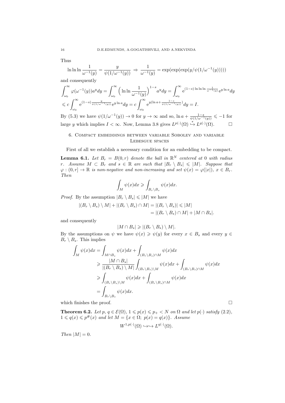Thus

$$
\ln \ln \ln \frac{1}{\omega^{-1}(y)} = \frac{y}{\psi(1/\omega^{-1}(y))} \Rightarrow \frac{1}{\omega^{-1}(y)} = \exp(\exp(\exp(y/\psi(1/\omega^{-1}(y))))
$$

and consequently

$$
\int_{\omega_0}^{\infty} \varphi(\omega^{-1}(y)) a^y dy = \int_{\omega_0}^{\infty} \left( \ln \ln \frac{1}{\omega^{-1}(y)} \right)^{1-s} a^y dy = \int_{\omega_0}^{\infty} e^{(1-s) \ln \ln \ln \frac{1}{\omega^{-1}(y)}} e^{y \ln a} dy
$$
  
\$\leqslant c \int\_{\omega\_0}^{\infty} e^{(1-s) \frac{y}{\psi(1/\omega^{-1}(y))}} e^{y \ln a} dy = c \int\_{\omega\_0}^{\infty} e^{y(\ln a + \frac{1-s}{\psi(1/\omega^{-1}(y))})} dy = I.

By (5.3) we have  $\psi(1/\omega^{-1}(y)) \to 0$  for  $y \to \infty$  and so,  $\ln a + \frac{1-s}{\psi(1/\omega^{-1}(y))} \le -1$  for large y which implies  $I < \infty$ . Now, Lemma 3.8 gives  $L^{p(\cdot)}(\Omega) \stackrel{*}{\hookrightarrow} L^{q(\cdot)}(\Omega)$ .  $\Box$ 

### 6. Compact embeddings between variable Sobolev and variable Lebesgue spaces

First of all we establish a necessary condition for an embedding to be compact.

**Lemma 6.1.** Let  $B_r = B(0,r)$  denote the ball in  $\mathbb{R}^N$  centered at 0 with radius r. Assume  $M \subset B_r$  and  $s \in \mathbb{R}$  are such that  $|B_r \setminus B_s| \leq |M|$ . Suppose that  $\varphi: (0, r] \to \mathbb{R}$  is non-negative and non-increasing and set  $\psi(x) = \varphi(|x|)$ ,  $x \in B_r$ . Then

$$
\int_M \psi(x)dx \geqslant \int_{B_r \backslash B_s} \psi(x)dx.
$$

*Proof.* By the assumption  $|B_r \setminus B_s| \leq |M|$  we have

$$
|(B_r \setminus B_s) \setminus M| + |(B_r \setminus B_s) \cap M| = |(B_r \setminus B_s)| \leq |M|
$$
  
= 
$$
|(B_r \setminus B_s) \cap M| + |M \cap B_s|.
$$

and consequently

$$
|M \cap B_s| \geqslant |(B_r \setminus B_s) \setminus M|.
$$

By the assumptions on  $\psi$  we have  $\psi(x) \geq \psi(y)$  for every  $x \in B_s$  and every  $y \in$  $B_r \setminus B_s$ . This implies

$$
\int_M \psi(x)dx = \int_{M \cap B_s} \psi(x)dx + \int_{(B_r \setminus B_s) \cap M} \psi(x)dx
$$
\n
$$
\geq \frac{|M \cap B_s|}{|(B_r \setminus B_s) \setminus M|} \int_{(B_r \setminus B_s) \setminus M} \psi(x)dx + \int_{(B_r \setminus B_s) \cap M} \psi(x)dx
$$
\n
$$
\geq \int_{(B_r \setminus B_s) \setminus M} \psi(x)dx + \int_{(B_r \setminus B_s) \cap M} \psi(x)dx
$$
\n
$$
= \int_{B_r \setminus B_s} \psi(x)dx.
$$

which finishes the proof.  $\Box$ 

**Theorem 6.2.** Let p,  $q \in \mathcal{E}(\Omega)$ ,  $1 \leq p(x) \leq p_+ < N$  on  $\Omega$  and let  $p(\cdot)$  satisfy (2.2),  $1 \leqslant q(x) \leqslant p^{\#}(x)$  and let  $M = \{x \in \Omega; \ p(x) = q(x)\}.$  Assume  $W^{1,p(\cdot)}(\Omega) \hookrightarrow \hookrightarrow L^{q(\cdot)}(\Omega).$ 

Then  $|M| = 0$ .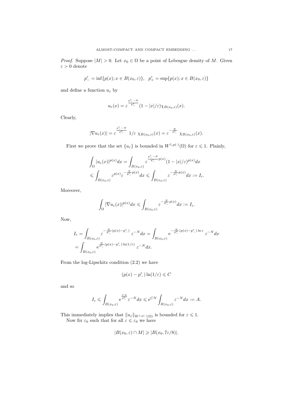$$
p^\varepsilon_- = \inf \{p(x); x \in B(x_0, \varepsilon)\}, \quad p^\varepsilon_+ = \sup \{p(x); x \in B(x_0, \varepsilon)\}
$$

and define a function  $u_\varepsilon$  by

$$
u_{\varepsilon}(x)=\varepsilon^{\frac{p^{\varepsilon}_- - N}{p^{\varepsilon}_-}}(1-|x|/\varepsilon)\chi_{B(x_0,\varepsilon)}(x).
$$

Clearly,

$$
|\nabla u_{\varepsilon}(x)| = \varepsilon^{\frac{p^{\varepsilon} - N}{p^{\varepsilon}}}\ 1/\varepsilon\ \chi_{B(x_0,\varepsilon)}(x) = \varepsilon^{-\frac{N}{p^{\varepsilon}}}\ \chi_{B(x_0,\varepsilon)}(x).
$$

First we prove that the set  $\{u_{\varepsilon}\}\)$  is bounded in  $W^{1,p(\cdot)}(\Omega)$  for  $\varepsilon \leq 1$ . Plainly,

$$
\begin{aligned} &\int_\Omega |u_\varepsilon(x)|^{p(x)}dx=\int_{B(x_0,\varepsilon)}\varepsilon^{\frac{p^\varepsilon_- -N}{p^\varepsilon_-}p(x)}(1-|x|/\varepsilon)^{p(x)}dx\\ &\leqslant \int_{B(x_0,\varepsilon)}\varepsilon^{p(x)}\varepsilon^{-\frac{N}{p^\varepsilon_-}p(x)}dx\leqslant \int_{B(x_0,\varepsilon)}\varepsilon^{-\frac{N}{p^\varepsilon_-}p(x)}dx:=I_\varepsilon. \end{aligned}
$$

Moreover,

$$
\int_{\Omega}|\nabla u_{\varepsilon}(x)|^{p(x)}dx\leqslant \int_{B(x_0,\varepsilon)}\varepsilon^{-\frac{N}{p^{\varepsilon}_{-}}p(x)}dx:=I_{\varepsilon}.
$$

Now,

$$
I_{\varepsilon} = \int_{B(x_0,\varepsilon)} \varepsilon^{-\frac{N}{p^{\varepsilon}}(p(x)-p^{\varepsilon})} \varepsilon^{-N} dx = \int_{B(x_0,\varepsilon)} e^{-\frac{N}{p^{\varepsilon}}(p(x)-p^{\varepsilon})\ln \varepsilon} \varepsilon^{-N} dx
$$
  
= 
$$
\int_{B(x_0,\varepsilon)} e^{\frac{N}{p^{\varepsilon}}(p(x)-p^{\varepsilon})\ln(1/\varepsilon)} \varepsilon^{-N} dx.
$$

From the log-Lipschitz condition (2.2) we have

$$
(p(x)-p_-^\varepsilon)\ln(1/\varepsilon)\leqslant C
$$

and so

$$
I_\varepsilon\leqslant \int_{B(x_0,\varepsilon)} {\rm e}^{\frac{C N}{p_-^\varepsilon}} \varepsilon^{-N} dx\leqslant {\rm e}^{CN} \int_{B(x_0,\varepsilon)} \varepsilon^{-N} dx:=A.
$$

This immediately implies that  $||u_{\varepsilon}||_{W^{1,p(\cdot)}(\Omega)}$  is bounded for  $\varepsilon \leq 1$ . Now fix  $\varepsilon_0$  such that for all  $\varepsilon \leq \varepsilon_0$  we have

$$
|B(x_0,\varepsilon) \cap M| \geqslant |B(x_0,7\varepsilon/8)|.
$$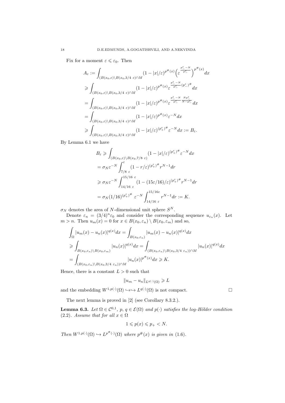Fix for a moment  $\varepsilon \leqslant \varepsilon_0$ . Then

$$
A_{\varepsilon} := \int_{(B(x_0,\varepsilon)\backslash B(x_0,3/4\varepsilon)\cap M)} (1-|x|/\varepsilon)^{p^{\#}(x)} \left(\varepsilon^{\frac{p^{\varepsilon}-N}{p^{\varepsilon}}}\right)^{p^{\#}(x)} dx
$$
  
\n
$$
\geq \int_{(B(x_0,\varepsilon)\backslash B(x_0,3/4\varepsilon)\cap M)} (1-|x|/\varepsilon)^{p^{\#}(x)} \varepsilon^{\frac{p^{\varepsilon}-N}{p^{\varepsilon}}(p^{\varepsilon})^{\#}} dx
$$
  
\n
$$
= \int_{(B(x_0,\varepsilon)\backslash B(x_0,3/4\varepsilon)\cap M)} (1-|x|/\varepsilon)^{p^{\#}(x)} \varepsilon^{\frac{p^{\varepsilon}-N}{p^{\varepsilon}}\frac{Np^{\varepsilon}}{N-p^{\varepsilon}}}\frac{dx}{N^{\varepsilon}-N^{\varepsilon}}
$$
  
\n
$$
\geq \int_{(B(x_0,\varepsilon)\backslash B(x_0,3/4\varepsilon)\cap M)} (1-|x|/\varepsilon)^{p^{\#}(x)} \varepsilon^{-N} dx := B_{\varepsilon}.
$$

By Lemma 6.1 we have

$$
B_{\varepsilon} \geqslant \int_{(B(x_0,\varepsilon)\backslash B(x_0,7/8 \varepsilon))} (1-|x|/\varepsilon)^{(p_{+}^{\varepsilon})^{\#}} \varepsilon^{-N} dx
$$
  
\n
$$
= \sigma_N \varepsilon^{-N} \int_{7/8 \varepsilon}^{\varepsilon} (1-r/\varepsilon)^{(p_{+}^{\varepsilon})^{\#}} r^{N-1} dr
$$
  
\n
$$
\geqslant \sigma_N \varepsilon^{-N} \int_{14/16 \varepsilon}^{15/16 \varepsilon} (1-(15\varepsilon/16)/\varepsilon)^{(p_{+}^{\varepsilon})^{\#}} r^{N-1} dr
$$
  
\n
$$
= \sigma_N (1/16)^{(p_{+}^{\varepsilon})^{\#}} \varepsilon^{-N} \int_{14/16 \varepsilon}^{15/16 \varepsilon} r^{N-1} dr := K.
$$

 $\sigma_N$  denotes the area of N-dimensional unit sphere  $S^N$ .

Denote  $\varepsilon_n = (3/4)^n \varepsilon_0$  and consider the corresponding sequence  $u_{\varepsilon_n}(x)$ . Let  $m > n$ . Then  $u_m(x) = 0$  for  $x \in B(x_0, \varepsilon_n) \setminus B(x_0, \varepsilon_m)$  and so,

$$
\int_{\Omega} |u_m(x) - u_n(x)|^{q(x)} dx = \int_{B(x_0, \varepsilon_n)} |u_m(x) - u_n(x)|^{q(x)} dx
$$
\n
$$
\geq \int_{B(x_0, \varepsilon_n) \backslash B(x_0, \varepsilon_m)} |u_n(x)|^{q(x)} dx = \int_{(B(x_0, \varepsilon_n) \backslash B(x_0, 3/4 \varepsilon_n)) \cap M} |u_n(x)|^{q(x)} dx
$$
\n
$$
= \int_{(B(x_0, \varepsilon_n) \backslash B(x_0, 3/4 \varepsilon_n)) \cap M} |u_n(x)|^{p^{*}(x)} dx \geq K.
$$

Hence, there is a constant  $L > 0$  such that

$$
||u_m - u_n||_{L^{q(\cdot)}(\Omega)} \geqslant L
$$

and the embedding  $W^{1,p(\cdot)}(\Omega) \hookrightarrow \hookrightarrow L^{q(\cdot)}(\Omega)$  is not compact.

The next lemma is proved in [2] (see Corollary 8.3.2.).

**Lemma 6.3.** Let  $\Omega \in \mathcal{C}^{0,1}$ ,  $p, q \in \mathcal{E}(\Omega)$  and  $p(\cdot)$  satisfies the log-Hölder condition (2.2). Assume that for all  $x \in \Omega$ 

$$
1 \leqslant p(x) \leqslant p_+ < N.
$$

Then  $W^{1,p(\cdot)}(\Omega) \hookrightarrow L^{p^{\#}(\cdot)}(\Omega)$  where  $p^{\#}(x)$  is given in (1.6).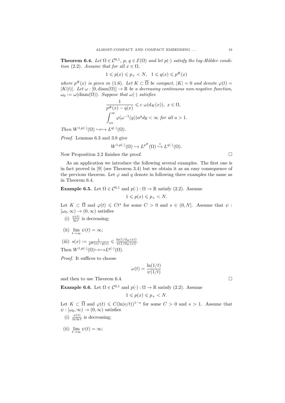**Theorem 6.4.** Let  $\Omega \in \mathcal{C}^{0,1}$ ,  $p, q \in \mathcal{E}(\Omega)$  and let  $p(\cdot)$  satisfy the log-Hölder condition (2.2). Assume that for all  $x \in \Omega$ ,

$$
1 \leqslant p(x) \leqslant p_+ < N, \quad 1 \leqslant q(x) \leqslant p^\#(x)
$$

where  $p^{\#}(x)$  is given in (1.6). Let  $K \subset \overline{\Omega}$  be compact,  $|K| = 0$  and denote  $\varphi(t) =$  $|K(t)|$ . Let  $\omega : [0, \text{diam}(\Omega)] \to \mathbb{R}$  be a decreasing continuous non-negative function,  $\omega_0 := \omega(\text{diam}(\Omega)).$  Suppose that  $\omega(\cdot)$  satisfies

$$
\frac{1}{p^{\#}(x) - q(x)} \leq c \omega(\mathrm{d}_K(x)), \ x \in \Omega,
$$

$$
\int_{\omega_0}^{\infty} \varphi(\omega^{-1}(y)) a^y dy < \infty \text{ for all } a > 1.
$$

Then  $W^{1,p(\cdot)}(\Omega) \hookrightarrow \hookrightarrow L^{q(\cdot)}(\Omega)$ .

Proof. Lemmas 6.3 and 3.8 give

$$
W^{1,p(\cdot)}(\Omega) \hookrightarrow L^{p^{\#}}(\Omega) \stackrel{*}{\hookrightarrow} L^{q(\cdot)}(\Omega).
$$

Now Proposition 2.2 finishes the proof.

As an application we introduce the following several examples. The first one is in fact proved in [9] (see Theorem 3.4) but we obtain it as an easy consequence of the previous theorem. Let  $\varphi$  and q denote in following three examples the same as in Theorem 6.4.

**Example 6.5.** Let  $\Omega \in \mathcal{C}^{0,1}$  and  $p(\cdot): \Omega \to \mathbb{R}$  satisfy (2.2). Assume

$$
1 \leqslant p(x) \leqslant p_+ < N.
$$

Let  $K \subset \overline{\Omega}$  and  $\varphi(t) \leq C t^s$  for some  $C > 0$  and  $s \in (0, N]$ . Assume that  $\psi$ :  $[\omega_0, \infty) \to (0, \infty)$  satisfies

- (i)  $\frac{\psi(t)}{\ln t}$  is decreasing;
- (ii)  $\lim_{t\to\infty}\psi(t) = \infty;$
- (iii)  $s(x) := \frac{1}{p^{\#}(x) q(x)} \leq \frac{\ln(1/\mathrm{d}_{K}(x))}{\psi(1/\mathrm{d}_{K}(x))}.$ Then  $W^{1,p(\cdot)}(\Omega) \rightarrow \hookrightarrow L^{q(\cdot)}(\Omega)$ .

Proof. It suffices to choose

$$
\omega(t) = \frac{\ln(1/t)}{\psi(1/t)}
$$

and then to use Theorem 6.4.  $\Box$ 

**Example 6.6.** Let  $\Omega \in \mathcal{C}^{0,1}$  and  $p(\cdot): \Omega \to \mathbb{R}$  satisfy (2.2). Assume

$$
1\leqslant p(x)\leqslant p_+
$$

Let  $K \subset \overline{\Omega}$  and  $\varphi(t) \leq C(\ln(e/t))^{1-s}$  for some  $C > 0$  and  $s > 1$ . Assume that  $\psi : [\omega_0, \infty) \to (0, \infty)$  satisfies

- (i)  $\frac{\psi(t)}{\ln \ln t}$  is decreasing;
- (ii)  $\lim_{t \to \infty} \psi(t) = \infty;$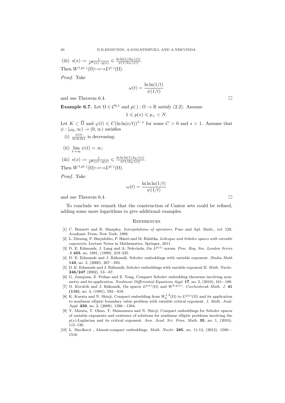(iii)  $s(x) := \frac{1}{p^*(x) - q(x)} \leq \frac{\ln \ln(1/d_K(x))}{\psi(1/d_K(x))}.$ Then  $W^{1,p(\cdot)}(\Omega) \rightarrow \hookrightarrow L^{q(\cdot)}(\Omega)$ .

Proof. Take

$$
\omega(t) = \frac{\ln \ln(1/t)}{\psi(1/t)}
$$

and use Theorem 6.4.

**Example 6.7.** Let  $\Omega \in \mathcal{C}^{0,1}$  and  $p(\cdot): \Omega \to \mathbb{R}$  satisfy (2.2). Assume

$$
1 \leqslant p(x) \leqslant p_+ < N.
$$

Let  $K \subset \overline{\Omega}$  and  $\varphi(t) \leq C(\ln \ln(e/t))^{1-s}$  for some  $C > 0$  and  $s > 1$ . Assume that  $\psi : [\omega_0, \infty) \to (0, \infty)$  satisfies

- (i)  $\frac{\psi(t)}{\ln \ln \ln t}$  is decreasing;
- (ii)  $\lim_{t\to\infty}\psi(t) = \infty;$

(iii) 
$$
s(x) := \frac{1}{p^{\#}(x) - q(x)} \le \frac{\ln \ln \ln(1/d_K(x))}{\psi(1/d_K(x))}
$$
.  
Then  $W^{1,p(\cdot)}(\Omega) \rightarrow \rightarrow L^{q(\cdot)}(\Omega)$ .

Proof. Take

$$
\omega(t) = \frac{\ln \ln \ln(1/t)}{\psi(1/t)}
$$

and use Theorem 6.4.

To conclude we remark that the construction of Cantor sets could be refined, adding some more logarithms to give additional examples.

#### **REFERENCES**

- [1] C. Bennett and R. Sharpley, Interpolations of operators. Pure and Apl. Math., vol. 129, Academic Press, New York, 1988.
- [2] L. Diening, P. Harjulehto, P. Hästö and M. Růžička, Lebesque and Sobolev spaces with variable exponents. Lecture Notes in Mathematics, Springer, 2011.
- [3] D. E. Edmunds, J. Lang and A. Nekvinda, On  $L^{p(x)}$  norms. Proc. Roy. Soc. London Series A 455, no. 1981, (1999), 219–225.
- [4] D. E. Edmunds and J. Rákosník, Sobolev embeddings with variable exponent. Studia Math 143, no. 3, (2000), 267—293.
- [5] D. E. Edmunds and J. Rákosník, Sobolev embeddings with variable exponent II. Math. Nachr. 246/247 (2002), 53—67.
- [6] G. Juanjuan, Z. Peihao and Z. Yong, Compact Sobolev embedding theorems involving symmetry and its application. Nonlinear Differential Equations Appl. 17, no. 2, (2010), 161-–180.
- [7] O. Kováčik and J. Rákosník, On spaces  $L^{p(x)}(\Omega)$  and  $W^{k,p(x)}$ . Czechoslovak Math. J. 41 (116), no. 4, (1991), 592—618.
- [8] K. Kurata and N. Shioji, Compact embedding from  $W_0^{1,2}(\Omega)$  to  $L^{q(x)}(\Omega)$  and its application to nonlinear elliptic boundary value problem with variable critical exponent. J. Math. Anal. Appl. 339, no. 2, (2008), 1386-1394.
- [9] Y. Mizuta, T. Ohno, T. Shimomura and N. Shioji, Compact embeddings for Sobolev spaces of variable exponents and existence of solutions for nonlinear elliptic problems involving the  $p(x)$ -Laplacian and its critical exponent. Ann. Acad. Sci. Fenn. Math. 35, no. 1, (2010), 115–130.
- [10] L. Slavíková, Almost-compact embeddings. *Math. Nachr.* 285, no. 11-12, (2012), 1500— 1516.